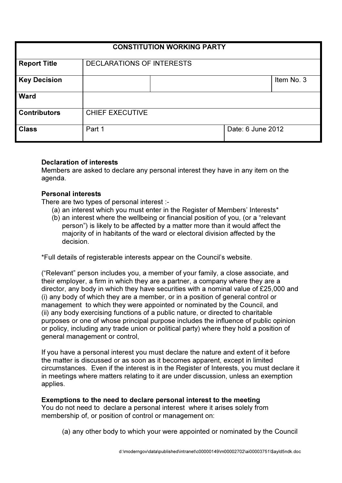| <b>CONSTITUTION WORKING PARTY</b> |                           |                   |  |            |
|-----------------------------------|---------------------------|-------------------|--|------------|
| <b>Report Title</b>               | DECLARATIONS OF INTERESTS |                   |  |            |
| <b>Key Decision</b>               |                           |                   |  | Item No. 3 |
| <b>Ward</b>                       |                           |                   |  |            |
| <b>Contributors</b>               | <b>CHIEF EXECUTIVE</b>    |                   |  |            |
| <b>Class</b>                      | Part 1                    | Date: 6 June 2012 |  |            |

## Declaration of interests

Members are asked to declare any personal interest they have in any item on the agenda.

## Personal interests

There are two types of personal interest :-

- (a) an interest which you must enter in the Register of Members' Interests\*
- (b) an interest where the wellbeing or financial position of you, (or a "relevant person") is likely to be affected by a matter more than it would affect the majority of in habitants of the ward or electoral division affected by the decision.

\*Full details of registerable interests appear on the Council's website.

("Relevant" person includes you, a member of your family, a close associate, and their employer, a firm in which they are a partner, a company where they are a director, any body in which they have securities with a nominal value of £25,000 and (i) any body of which they are a member, or in a position of general control or management to which they were appointed or nominated by the Council, and (ii) any body exercising functions of a public nature, or directed to charitable purposes or one of whose principal purpose includes the influence of public opinion or policy, including any trade union or political party) where they hold a position of general management or control,

If you have a personal interest you must declare the nature and extent of it before the matter is discussed or as soon as it becomes apparent, except in limited circumstances. Even if the interest is in the Register of Interests, you must declare it in meetings where matters relating to it are under discussion, unless an exemption applies.

Exemptions to the need to declare personal interest to the meeting You do not need to declare a personal interest where it arises solely from membership of, or position of control or management on:

(a) any other body to which your were appointed or nominated by the Council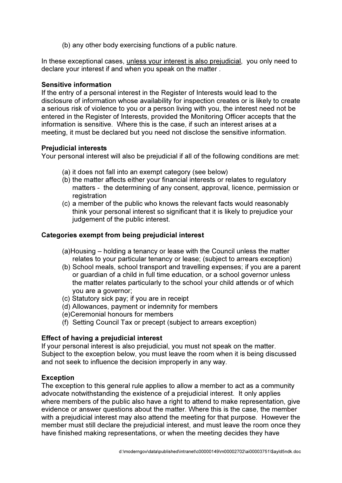(b) any other body exercising functions of a public nature.

In these exceptional cases, unless your interest is also prejudicial, you only need to declare your interest if and when you speak on the matter .

### Sensitive information

If the entry of a personal interest in the Register of Interests would lead to the disclosure of information whose availability for inspection creates or is likely to create a serious risk of violence to you or a person living with you, the interest need not be entered in the Register of Interests, provided the Monitoring Officer accepts that the information is sensitive. Where this is the case, if such an interest arises at a meeting, it must be declared but you need not disclose the sensitive information.

## Prejudicial interests

Your personal interest will also be prejudicial if all of the following conditions are met:

- (a) it does not fall into an exempt category (see below)
- (b) the matter affects either your financial interests or relates to regulatory matters - the determining of any consent, approval, licence, permission or registration
- (c) a member of the public who knows the relevant facts would reasonably think your personal interest so significant that it is likely to prejudice your judgement of the public interest.

# Categories exempt from being prejudicial interest

- (a)Housing holding a tenancy or lease with the Council unless the matter relates to your particular tenancy or lease; (subject to arrears exception)
- (b) School meals, school transport and travelling expenses; if you are a parent or guardian of a child in full time education, or a school governor unless the matter relates particularly to the school your child attends or of which you are a governor;
- (c) Statutory sick pay; if you are in receipt
- (d) Allowances, payment or indemnity for members
- (e)Ceremonial honours for members
- (f) Setting Council Tax or precept (subject to arrears exception)

# Effect of having a prejudicial interest

If your personal interest is also prejudicial, you must not speak on the matter. Subject to the exception below, you must leave the room when it is being discussed and not seek to influence the decision improperly in any way.

# Exception

The exception to this general rule applies to allow a member to act as a community advocate notwithstanding the existence of a prejudicial interest. It only applies where members of the public also have a right to attend to make representation, give evidence or answer questions about the matter. Where this is the case, the member with a prejudicial interest may also attend the meeting for that purpose. However the member must still declare the prejudicial interest, and must leave the room once they have finished making representations, or when the meeting decides they have